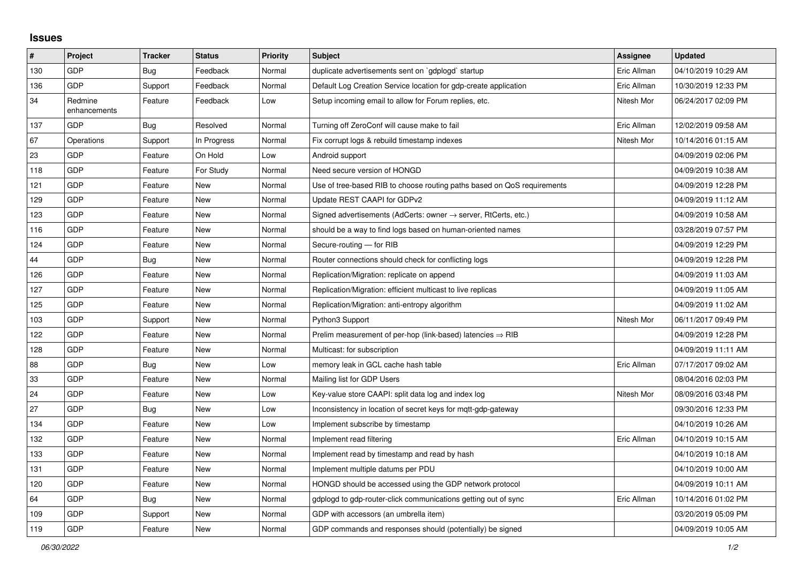## **Issues**

| #   | Project                 | <b>Tracker</b> | <b>Status</b> | <b>Priority</b> | <b>Subject</b>                                                          | Assignee    | <b>Updated</b>      |
|-----|-------------------------|----------------|---------------|-----------------|-------------------------------------------------------------------------|-------------|---------------------|
| 130 | <b>GDP</b>              | Bug            | Feedback      | Normal          | duplicate advertisements sent on `gdplogd` startup                      | Eric Allman | 04/10/2019 10:29 AM |
| 136 | GDP                     | Support        | Feedback      | Normal          | Default Log Creation Service location for gdp-create application        | Eric Allman | 10/30/2019 12:33 PM |
| 34  | Redmine<br>enhancements | Feature        | Feedback      | Low             | Setup incoming email to allow for Forum replies, etc.                   | Nitesh Mor  | 06/24/2017 02:09 PM |
| 137 | <b>GDP</b>              | <b>Bug</b>     | Resolved      | Normal          | Turning off ZeroConf will cause make to fail                            | Eric Allman | 12/02/2019 09:58 AM |
| 67  | Operations              | Support        | In Progress   | Normal          | Fix corrupt logs & rebuild timestamp indexes                            | Nitesh Mor  | 10/14/2016 01:15 AM |
| 23  | <b>GDP</b>              | Feature        | On Hold       | Low             | Android support                                                         |             | 04/09/2019 02:06 PM |
| 118 | GDP                     | Feature        | For Study     | Normal          | Need secure version of HONGD                                            |             | 04/09/2019 10:38 AM |
| 121 | GDP                     | Feature        | <b>New</b>    | Normal          | Use of tree-based RIB to choose routing paths based on QoS requirements |             | 04/09/2019 12:28 PM |
| 129 | GDP                     | Feature        | New           | Normal          | Update REST CAAPI for GDPv2                                             |             | 04/09/2019 11:12 AM |
| 123 | GDP                     | Feature        | <b>New</b>    | Normal          | Signed advertisements (AdCerts: owner → server, RtCerts, etc.)          |             | 04/09/2019 10:58 AM |
| 116 | GDP                     | Feature        | New           | Normal          | should be a way to find logs based on human-oriented names              |             | 03/28/2019 07:57 PM |
| 124 | GDP                     | Feature        | <b>New</b>    | Normal          | Secure-routing - for RIB                                                |             | 04/09/2019 12:29 PM |
| 44  | <b>GDP</b>              | <b>Bug</b>     | <b>New</b>    | Normal          | Router connections should check for conflicting logs                    |             | 04/09/2019 12:28 PM |
| 126 | <b>GDP</b>              | Feature        | <b>New</b>    | Normal          | Replication/Migration: replicate on append                              |             | 04/09/2019 11:03 AM |
| 127 | <b>GDP</b>              | Feature        | <b>New</b>    | Normal          | Replication/Migration: efficient multicast to live replicas             |             | 04/09/2019 11:05 AM |
| 125 | <b>GDP</b>              | Feature        | <b>New</b>    | Normal          | Replication/Migration: anti-entropy algorithm                           |             | 04/09/2019 11:02 AM |
| 103 | GDP                     | Support        | New           | Normal          | Python3 Support                                                         | Nitesh Mor  | 06/11/2017 09:49 PM |
| 122 | GDP                     | Feature        | <b>New</b>    | Normal          | Prelim measurement of per-hop (link-based) latencies $\Rightarrow$ RIB  |             | 04/09/2019 12:28 PM |
| 128 | <b>GDP</b>              | Feature        | New           | Normal          | Multicast: for subscription                                             |             | 04/09/2019 11:11 AM |
| 88  | <b>GDP</b>              | Bug            | <b>New</b>    | Low             | memory leak in GCL cache hash table                                     | Eric Allman | 07/17/2017 09:02 AM |
| 33  | <b>GDP</b>              | Feature        | <b>New</b>    | Normal          | Mailing list for GDP Users                                              |             | 08/04/2016 02:03 PM |
| 24  | <b>GDP</b>              | Feature        | New           | Low             | Key-value store CAAPI: split data log and index log                     | Nitesh Mor  | 08/09/2016 03:48 PM |
| 27  | GDP                     | Bug            | <b>New</b>    | Low             | Inconsistency in location of secret keys for mgtt-gdp-gateway           |             | 09/30/2016 12:33 PM |
| 134 | <b>GDP</b>              | Feature        | <b>New</b>    | Low             | Implement subscribe by timestamp                                        |             | 04/10/2019 10:26 AM |
| 132 | <b>GDP</b>              | Feature        | <b>New</b>    | Normal          | Implement read filtering                                                | Eric Allman | 04/10/2019 10:15 AM |
| 133 | GDP                     | Feature        | <b>New</b>    | Normal          | Implement read by timestamp and read by hash                            |             | 04/10/2019 10:18 AM |
| 131 | <b>GDP</b>              | Feature        | <b>New</b>    | Normal          | Implement multiple datums per PDU                                       |             | 04/10/2019 10:00 AM |
| 120 | <b>GDP</b>              | Feature        | <b>New</b>    | Normal          | HONGD should be accessed using the GDP network protocol                 |             | 04/09/2019 10:11 AM |
| 64  | <b>GDP</b>              | <b>Bug</b>     | <b>New</b>    | Normal          | gdplogd to gdp-router-click communications getting out of sync          | Eric Allman | 10/14/2016 01:02 PM |
| 109 | <b>GDP</b>              | Support        | <b>New</b>    | Normal          | GDP with accessors (an umbrella item)                                   |             | 03/20/2019 05:09 PM |
| 119 | GDP                     | Feature        | <b>New</b>    | Normal          | GDP commands and responses should (potentially) be signed               |             | 04/09/2019 10:05 AM |